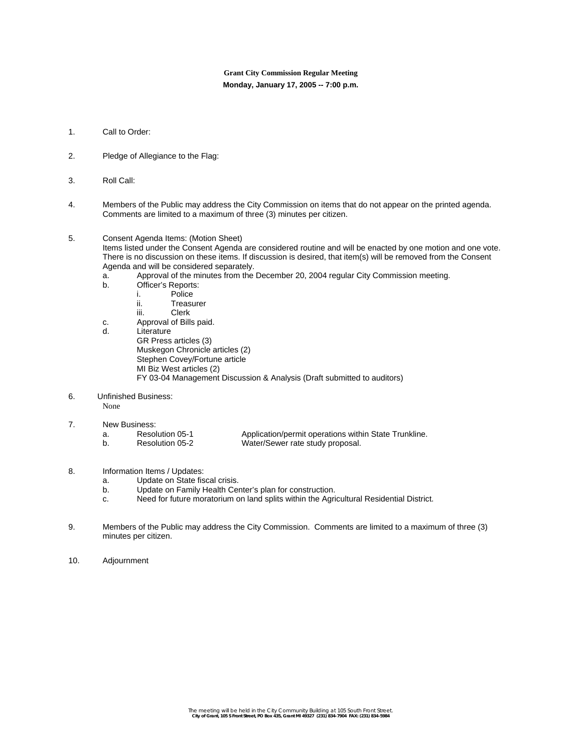# **Grant City Commission Regular Meeting Monday, January 17, 2005 -- 7:00 p.m.**

- 1. Call to Order:
- 2. Pledge of Allegiance to the Flag:
- 3. Roll Call:
- 4. Members of the Public may address the City Commission on items that do not appear on the printed agenda. Comments are limited to a maximum of three (3) minutes per citizen.
- 5. Consent Agenda Items: (Motion Sheet)

Items listed under the Consent Agenda are considered routine and will be enacted by one motion and one vote. There is no discussion on these items. If discussion is desired, that item(s) will be removed from the Consent Agenda and will be considered separately.

- a. Approval of the minutes from the December 20, 2004 regular City Commission meeting.
- b. Officer's Reports:
	- i. Police
		- ii. Treasurer
		- iii. Clerk
- c. Approval of Bills paid.
- d. Literature
	- GR Press articles (3) Muskegon Chronicle articles (2)
		- Stephen Covey/Fortune article
		- MI Biz West articles (2)
			- FY 03-04 Management Discussion & Analysis (Draft submitted to auditors)
- 6. Unfinished Business:
	- None
- 7. New Business:

| Resolution 05-1 | Application/permit operations within State Trunkline. |
|-----------------|-------------------------------------------------------|
| Resolution 05-2 | Water/Sewer rate study proposal.                      |

- 8. Information Items / Updates:
	- a. Update on State fiscal crisis.
	- b. Update on Family Health Center's plan for construction.
	- c. Need for future moratorium on land splits within the Agricultural Residential District.
- 9. Members of the Public may address the City Commission. Comments are limited to a maximum of three (3) minutes per citizen.
- 10. Adjournment